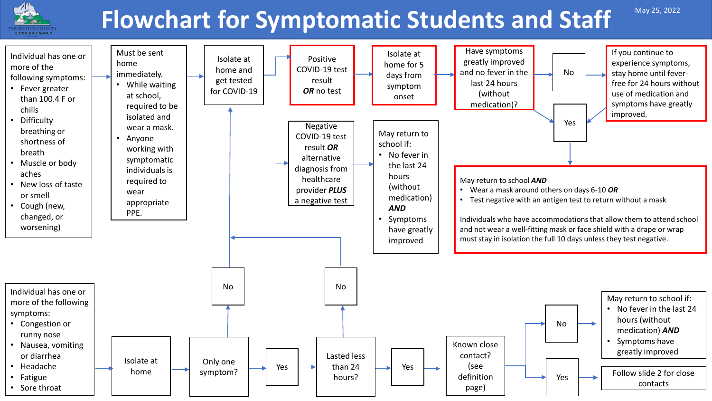

# **Flowchart for Symptomatic Students and Staff**

May 25, 2022

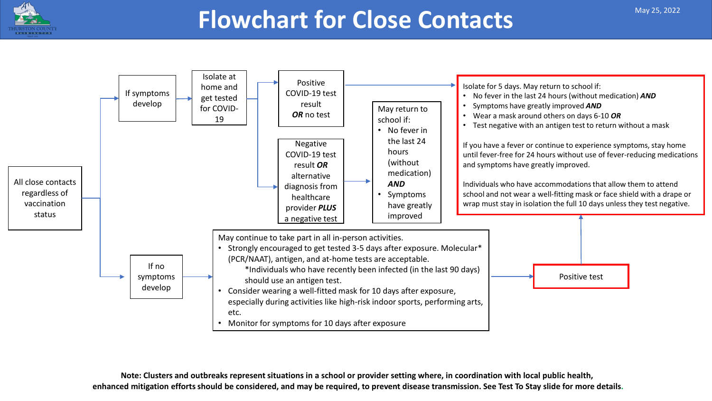



**Note: Clusters and outbreaks represent situations in a school or provider setting where, in coordination with local public health, enhanced mitigation efforts should be considered, and may be required, to prevent disease transmission. See Test To Stay slide for more details.**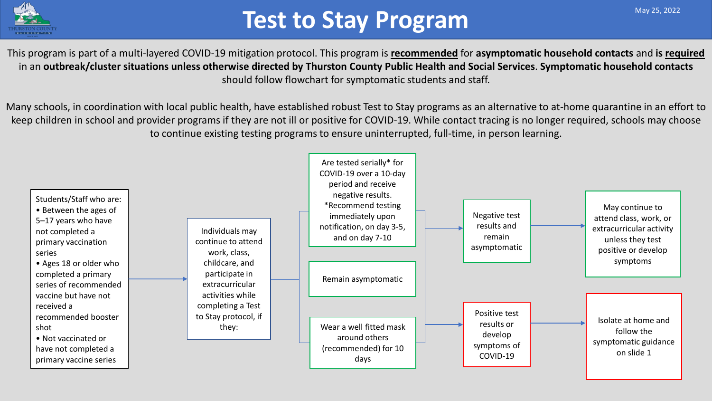

## **Test to Stay Program**

This program is part of a multi-layered COVID-19 mitigation protocol. This program is **recommended** for **asymptomatic household contacts** and **is required** in an **outbreak/cluster situations unless otherwise directed by Thurston County Public Health and Social Services**. **Symptomatic household contacts** should follow flowchart for symptomatic students and staff.

Many schools, in coordination with local public health, have established robust Test to Stay programs as an alternative to at-home quarantine in an effort to keep children in school and provider programs if they are not ill or positive for COVID-19. While contact tracing is no longer required, schools may choose to continue existing testing programs to ensure uninterrupted, full-time, in person learning.

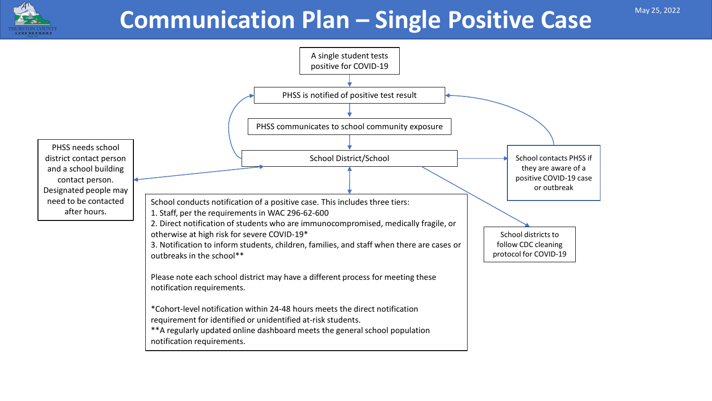

## **Communication Plan – Single Positive Case May 25, 2022**

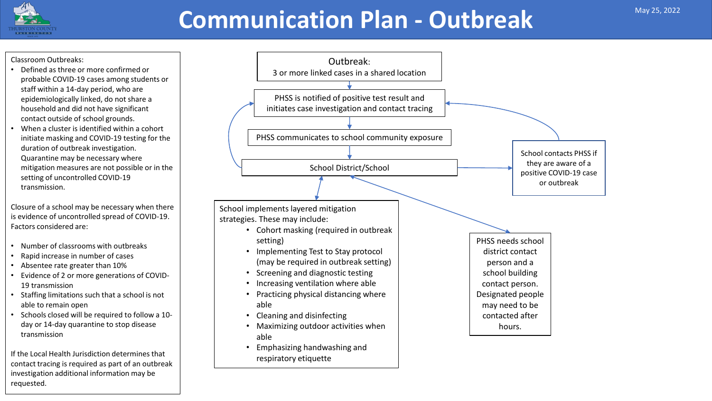## **Communication Plan - Outbreak** May 25, 2022

#### Classroom Outbreaks:

- Defined as three or more confirmed or probable COVID-19 cases among students or staff within a 14-day period, who are epidemiologically linked, do not share a household and did not have significant contact outside of school grounds.
- When a cluster is identified within a cohort initiate masking and COVID-19 testing for the duration of outbreak investigation. Quarantine may be necessary where mitigation measures are not possible or in the setting of uncontrolled COVID-19 transmission.

Closure of a school may be necessary when there is evidence of uncontrolled spread of COVID-19. Factors considered are:

- Number of classrooms with outbreaks
- Rapid increase in number of cases
- Absentee rate greater than 10%
- Evidence of 2 or more generations of COVID-19 transmission
- Staffing limitations such that a school is not able to remain open
- Schools closed will be required to follow a 10 day or 14-day quarantine to stop disease transmission

If the Local Health Jurisdiction determines that contact tracing is required as part of an outbreak investigation additional information may be requested.